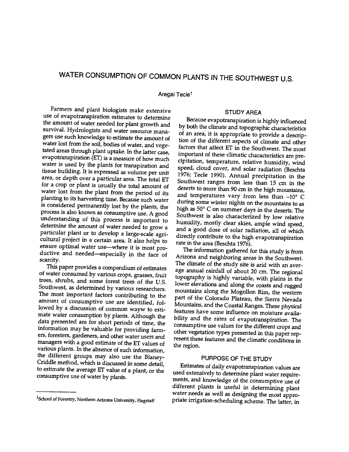# WATER CONSUMPTION OF COMMON PLANTS IN THE SOUTHWEST U.S.

Aregai Tecle<sup>1</sup>

Farmers and plant biologists make extensive use of evapotranspiration estimates to determine the amount of water needed for plant growth and survival. Hydrologists and water resource managers use such knowledge to estimate the amount of water lost from the soil, bodies of water, and vegeevapotranspiration (ET) is a measure of how much tissue building. It is expressed as volume per unit area, or depth over a particular area. The total ET for a crop or plant is usually the total amount of deserts to more than 90 cm in the high mountains, water lost from the plant from the period of its planting to its harvesting time. Because such water process is also known as consumptive use. A good southwest is also characterized by low relative understanding of this process is important to humidity, mostly clear skies, ample wind speed, determine the amount of water n particular plant or to develop a large-scale agri-<br>cultural project in a certain area. It also helps to<br>ensure optimal water use—where it is most productive and needed-especially in the face of scarcity.

This paper provides a compendium of estimates<br>of water consumed by various crops, grasses, fruit trees, shrubs, and some forest trees of the U.S. Southwest, as determined by various researchers. The most important factors contributing to the amount of consumptive use are identified, followed by a discussion of common wayw to estimate water consumption by plants. Although the data presented are for short periods of time, the information may be valuable for providing farm-<br>other vegetation types presented in this paper repers, foresters, gardeners, and other water users and managers with a good estimate of the ET values of the different groups may also use the Blaney-Criddle method, which is discussed in some detail, to estimate the average ET value of a plant, or the consumptive use of water by plants.

#### STUDY AREA

tated areas through plant uptake. In the latter case, important of these climatic characteristics are prewater is used by the plants for transpiration and speed, cloud cover, and solar radiation (Beschta Because evapotranspiration is highly influenced by both the climate and topographic characteristics of an area, it is appropriate to provide a description of the different aspects of climate and other factors that affect ET in the Southwest. The most cipitation, temperature, relative humidity, wind 1976; Tecle 1990). Annual precipitation in the Southwest ranges from less than 15 cm in the and temperatures vary from less than  $-10^{\circ}$  C during some winter nights on the mountains to as high as 50° C on summer days in the deserts. The Southwest is also characterized by low relative and a good dose of solar radiation, all of which directly contribute to the high evapotranspiration rate in the area (Beschta 1976).

> The information gathered for this study is from Arizona and neighboring areas in the Southwest. The climate of the study site is arid with an average annual rainfall of about 20 cm. The regional topography is highly variable, with plains in the lower elevations and along the coasts and rugged mountains along the Mogollon Rim, the western part of the Colorado Plateau, the Sierra Nevada<br>Mountains, and the Coastal Ranges. These physical features have some influence on moisture availability and the rates of evapotranspiration. The consumptive use values for the different crops and resent these features and the climatic conditions in the region.

## PURPOSE OF THE STUDY

Estimates of daily evapotranspiration values are used extensively to determine plant water requirements, and knowledge of the consumptive use of different plants is useful in determining plant water needs as well as designing the most appro-<br>priate irrigation-scheduling scheme. The latter, in

<sup>&</sup>lt;sup>1</sup>School of Forestry, Northern Arizona University, Flagstaff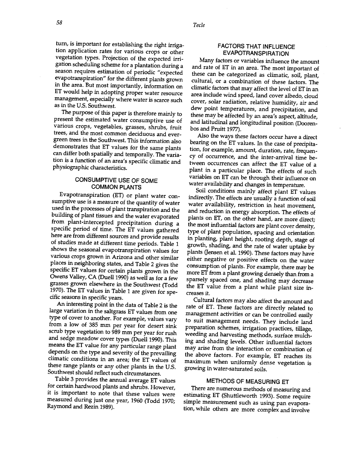58 Tecle

turn, is important for establishing the right irrigation application rates for various crops or other vegetation types. Projection of the expected irrigation scheduling scheme for a plantation during a season requires estimation of periodic "expected evapotranspiration" for the different plants grown in the area. But most importantly, information on ET would help in adopting proper water resource management, especially where water is scarce such as in the U.S. Southwest.

The purpose of this paper is therefore mainly to present the estimated water consumptive use of various crops, vegetables, grasses, shrubs, fruit trees, and the most common deciduous and evergreen trees in the Southwest. This information also demonstrates that ET values for the same plants can differ both spatially and temporally. The variation is a function of an area's specific climatic and physiographic characteristics.

## CONSUMPTIVE USE OF SOME COMMON PLANTS

Evapotranspiration (ET) or plant water consumptive use is a measure of the quantity of water used in the processes of plant transpiration and the building of plant tissues and the water evaporated from plant-intercepted precipitation during a specific period of time. The ET values gathered here are from different sources and provide results of studies made at different time periods. Table 1 shows the seasonal evapotranspiration values for plants (Jensen et al. 1990). These factors may have various crops grown in Arizona and other similar places in neighboring states, and Table 2 gives the specific ET values for certain plants grown in the Owens Valley, CA (Duell 1990) as well as for a few grasses grown elsewhere in the Southwest (Todd 1970). The ET values in Table 1 are given for specific seasons in specific years.

An interesting point in the data of Table 2 is the large variation in the saltgrass ET values from one type of cover to another. For example, values vary from a low of 385 mm per year for desert sink scrub type vegetation to 989 mm per year for rush and sedge meadow cover types (Duell 1990). This means the ET value for any particular range plant depends on the type and severity of the prevailing climatic conditions in an area; the ET values of these range plants or any other plants in the U.S. Southwest should reflect such circumstances.

Table 3 provides the annual average ET values<br>for certain hardwood plants and shrubs. However, it is important to note that these values were measured during just one year, 1960 (Todd 1970; Raymond and Rezin 1989).

## FACTORS THAT INFLUENCE EVAPOTRANSPIRATION

Many factors or variables influence the amount and rate of ET in an area. The most important of these can be categorized as climatic, soil, plant, cultural, or a combination of these factors. The climatic factors that may affect the level of ET in an area include wind speed, land cover albedo, cloud cover, solar radiation, relative humidity, air and dew point temperatures, and precipitation, and these may be affected by an area's aspect, altitude, and latitudinal and longitudinal position (Dooren-

Also the ways these factors occur have a direct bearing on the ET values. In the case of precipitation, for example, amount, duration, rate, frequency of occurrence, and the inter-arrival time between occurrences can affect the ET value of a plant in a particular place. The effects of such variables on ET can be through their influence on water availability and changes in temperature.

Soil conditions mainly affect plant ET values indirectly. The effects are usually a function of soil water availability, restriction in heat movement, and reduction in energy absorption. The effects of plants on ET, on the other hand, are more direct; the most influential factors are plant cover density, type of plant population, spacing and orientation in planting, plant height, rooting depth, stage of growth, shading, and the rate of water uptake by either negative or positive effects on the water consumption of plants. For example, there may be more ET from a plant growing densely than from a sparsely spaced one, and shading may decrease the ET value from a plant while plant size in- creases it.

Cultural factors may also affect the amount and rate of ET. These factors are directly related to management activities or can be controlled easily to suit management needs. They include land preparation schemes, irrigation practices, tillage, weeding and harvesting methods, surface mulching and shading levels. Other influential factors may arise from the interaction or combination of the above factors. For example, ET reaches its maximum when uniformly dense vegetation is growing in water -saturated soils.

#### METHODS OF MEASURING ET

There are numerous methods of measuring and estimating ET (Shuttleworth 1993). Some require simple measurement such as using pan evaporation, while others are more complex and involve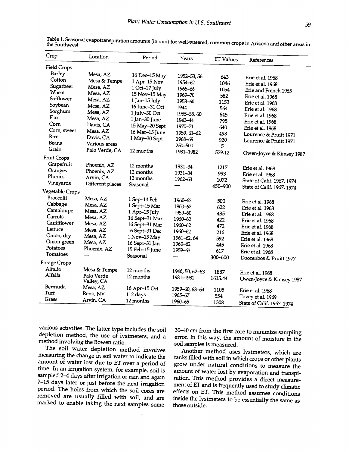| Crop               | Location         | Period             | Years           | <b>ET Values</b> | References                 |
|--------------------|------------------|--------------------|-----------------|------------------|----------------------------|
| <b>Field Crops</b> |                  |                    |                 |                  |                            |
| Barley             | Mesa, AZ         | 16 Dec-15 May      | 1952-53, 56     | 643              |                            |
| Cotton             | Mesa & Tempe     | 1 Apr-15 Nov       | 1954-62         | 1046             | Erie et al. 1968           |
| Sugarbeet          | Mesa, AZ         | 1 Oct-17 July      | 1965-66         | 1054             | Erie et al. 1968           |
| Wheat              | Mesa, AZ         | 15 Nov-15 May      | 1969-70         | 582              | Erie and French 1965       |
| Safflower          | Mesa, AZ         | $1$ Jan- $15$ July | 1958-60         | 1153             | Erie et al. 1968           |
| Soybean            | Mesa, AZ         | 16 June-31 Oct     | 1944            | 564              | Erie et al. 1968           |
| Sorghum            | Mesa, AZ         | 1 July-30 Oct      | 1955-58,60      | 645              | Erie et al. 1968           |
| Flax               | Mesa, AZ         | 1 Jan-30 June      | 1943-44         | 795              | Erie et al. 1968           |
| Corn               | Davis, CA        | 15 May-20 Sept     | 1970-71         | 640              | Erie et al. 1968           |
| Corn, sweet        | Mesa, AZ         | 16 Mar-15 June     | 1959, 61-62     |                  | Erie et al. 1968           |
| Rice               | Davis, CA        | 1 May-30 Sept      | 1968–69         | 498              | Lourence & Pruitt 1971     |
| Beans              | Various areas    |                    | 250-500         | 920              | Lourence & Pruitt 1971     |
| Grain              | Palo Verde, CA   | 12 months          | 1981-1982       | 5<br>579.12      |                            |
| <b>Fruit Crops</b> |                  |                    |                 |                  | Owen-Joyce & Kimsey 1987   |
| Grapefruit         | Phoenix, AZ      | 12 months          | 1931-34         |                  |                            |
| Oranges            | Phoenix, AZ      | 12 months          | 1931-34         | 1217             | Erie et al. 1968           |
| Plumes             | Arvin, CA        | 12 months          | 1962–63         | 993              | Erie et al. 1968           |
| Vineyards          | Different places | Seasonal           |                 | 1072             | State of Calif. 1967, 1974 |
| Vegetable Crops    |                  |                    |                 | 450-900          | State of Calif. 1967, 1974 |
| Broccolli          | Mesa, AZ         | 1 Sep-14 Feb       | 1960-62         |                  |                            |
| Cabbage            | Mesa, AZ         | 1 Sept-15 Mar      | 1960–62         | 500              | Erie et al. 1968           |
| Cantaloupe         | Mesa, AZ         | 1 Apr-15 July      | 1959-60         | 622              | Erie et al. 1968           |
| Carrots            | Mesa, AZ         | 16 Sept-31 Mar     | 1960-62         | 485              | Erie et al. 1968           |
| Cauliflower        | Mesa, AZ         | 16 Sept-31 Mar     | 1960-62         | 422              | Erie et al. 1968           |
| Lettuce            | Mesa, AZ         | 16 Sept-31 Dec     |                 | 472              | Erie et al. 1968           |
| Onion, dry         | Mesa, AZ         | 1 Nov-15 May       | 1960-62         | 216              | Erie et al. 1968           |
| Onion green        | Mesa, AZ         | 16 Sept-31 Jan     | 1961-62, 64     | 592              | Erie et al. 1968           |
| Potatoes           | Phoenix, AZ      | 15 Feb-15 June     | 1960-62         | 445              | Erie et al. 1968           |
| Tomatoes           |                  | Seasonal           | 1959-63         | 617              | Erie et al. 1968           |
| Forage Crops       |                  |                    |                 | 300-600          | Doorenbos & Pruitt 1977    |
| Alfalfa            | Mesa & Tempe     | 12 months          |                 |                  |                            |
| Alfalfa            | Palo Verde       |                    | 1946, 50, 62-63 | 1887             | Erie et al. 1968           |
|                    | Valley, CA       | 12 months          | 1981-1982       | 1615.44          | Owen-Joyce & Kimsey 1987   |
| Bermuda            | Mesa, AZ         | 16 Apr-15 Oct      | 1959-60, 63-64  | 1105             | Erie et al. 1968           |
| Turf               | Reno, NV         | 112 days           | 1965-67         | 554              | Tovey et al. 1969          |
| Grass              | Arvin, CA        | 12 months          | 1960-65         | 1308             | State of Calif. 1967, 1974 |

Table 1. Seasonal evapotranspiration amounts (in mm) for well-watered, common crops in Arizona and other areas in<br>the Southwest.

various activities. The latter type includes the soil depletion method, the use of lysimeters, and a method involving the Bowen ratio.

The soil water depletion method involves measuring the change in soil water to indicate the tanks filled with soil in which crops or other plants amount of water lost due to ET over a period of grow under natural conditions to measure the time. In an irrigation system, for example, soil is amount of water lost by evaporation and transpitime. In an irrigation system, for example, soil is sampled 2-4 days after irrigation or rain and again 7-15 days later or just before the next irrigation or resolute the state of ET and is frequently used to study climatic period. The holes from which the soil cores are effects on ET. This method assumes conditions removed marked to enable taking the next samples some

30-40 cm from the first core to minimize sampling error. In this way, the amount of moisture in the soil samples is measured.

Another method uses lysimeters, which are grow under natural conditions to measure the ration. This method provides a direct measureeffects on ET. This method assumes conditions inside the lysimeters to be essentially the same as those outside.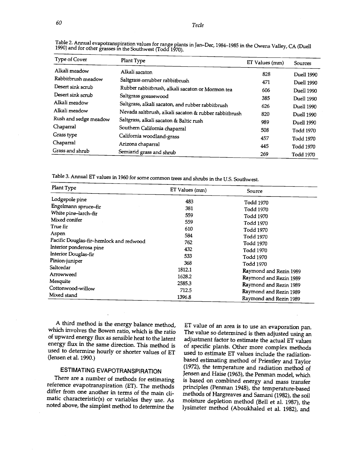| Type of Cover         | Plant Type                                            | ET Values (mm) | Sources           |
|-----------------------|-------------------------------------------------------|----------------|-------------------|
| Alkali meadow         | Alkali sacaton                                        | 828            | <b>Duell 1990</b> |
| Rabbitbrush meadow    | Saltgrass orrubber rabbitbrush                        | 471            | Duell 1990        |
| Desert sink scrub     | Rubber rabbitbrush, alkali sacaton or Mormon tea      | 606            |                   |
| Desert sink scrub     | Saltgrass greasewood                                  | 385            | <b>Duell 1990</b> |
| Alkali meadow         | Saltgrass, alkali sacaton, and rubber rabbitbrush     |                | Duell 1990        |
| Alkali meadow         | Nevada saltbrush, alkali sacaton & rubber rabbitbrush | 626            | Duell 1990        |
| Rush and sedge meadow | Saltgrass, alkali sacaton & Baltic rush               | 820            | Duell 1990        |
| Chaparral             | Southern California chaparral                         | 989            | Duell 1990        |
| Grass type            | California woodland-grass                             | 508            | Todd 1970         |
| Chaparral             | Arizona chaparral                                     | 457            | Todd 1970         |
| Grass and shrub       | Semiarid grass and shrub                              | 445            | Todd 1970         |
|                       |                                                       | 269            | Todd 1970         |

Table 2. Annual evapotranspiration values for range plants in Jan-Dec, 1984-1985 in the Owens Valley, CA (Duell 1990) and for other grasses in the Southwest (Todd 1970).

Table 3. Annual ET values in 1960 for some common trees and shrubs in the U.S. Southwest.

| Plant Type                              | ET Values (mm) | Source                                           |  |
|-----------------------------------------|----------------|--------------------------------------------------|--|
| Lodgepole pine                          | 483            | Todd 1970                                        |  |
| Engelmann spruce-fir                    | 381            | Todd 1970                                        |  |
| White pine-larch-fir                    | 559            | Todd 1970                                        |  |
| Mixed conifer                           | 559            | Todd 1970                                        |  |
| True fir                                | 610            | Todd 1970                                        |  |
| Aspen                                   | 584            | Todd 1970                                        |  |
| Pacific Douglas-fir-hemlock and redwood | 762            | Todd 1970                                        |  |
| Interior ponderosa pine                 | 432            | Todd 1970                                        |  |
| Interior Douglas-fir                    | 533            | Todd 1970                                        |  |
| Pinion-juniper                          | 368            | Todd 1970                                        |  |
| Saltcedar                               | 1812.1         | Raymond and Rezin 1989                           |  |
| Arrowweed                               | 1628.2         |                                                  |  |
| Mesquite                                | 2585.3         | Raymond and Rezin 1989                           |  |
| Cottonwood-willow                       | 712.5          | Raymond and Rezin 1989                           |  |
| Mixed stand                             | 1396.8         | Raymond and Rezin 1989<br>Raymond and Rezin 1989 |  |

A third method is the energy balance method, which involves the Bowen ratio, which is the ratio of upward energy flux as sensible heat to the latent energy flux in the same direction. This method is of specific plants. Other more complex methods used to determine hourly or shorter values of ET (Jensen et al. 1990.)

# ESTIMATING EVAPOTRANSPIRATION

There are a number of methods for estimating reference evapotranspiration (ET). The methods differ from one another in terms of the main climatic characteristic(s) or variables they use. As noted above, the simplest method to determine the

ET value of an area is to use an evaporation pan. The value so determined is then adjusted using an adjustment factor to estimate the actual ET values used to estimate ET values include the radiation-<br>based estimating method of Priestley and Taylor (1972), the temperature and radiation method of Jensen and Haise (1963), the Penman model, which is based on combined energy and mass transfer principles (Penman 1948), the temperature -based methods of Hargreaves and Samani (1982), the soil moisture depletion method (Bell et al. 1987), the lysimeter method (Aboukhaled et al. 1982), and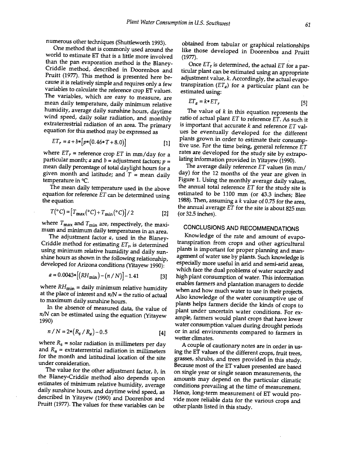numerous other techniques (Shuttleworth 1993).

One method that is commonly used around the world to estimate ET that is a little more involved than the pan evaporation method is the Blaney-Criddle method, described in Doorenbos and Pruitt (1977). This method is presented here because it is relatively simple and requires only a few The variables, which are easy to measure, are mean daily temperature, daily minimum relative wind speed, daily solar radiation, and monthly extraterrestrial radiation of an area. The primary equation for this method may be expressed as

$$
ET_r = a + b * [p * (0.46 * T + 8.0)] \tag{1}
$$

where  $ET_r$  = reference crop ET in mm/day for a particular month; *a* and *b* = adjustment factors; *p* =  $\frac{1}{2}$  lating information provided in Yitayew (1990).<br>mean daily percentage of total davlight hours for a The average daily reference *ET* values (in mm/ mean daily percentage of total daylight hours for a<br>given month and latitude: and  $T =$  mean daily day) for the 12 months of the year are given in given month and latitude; and  $T =$  mean daily temperature in °C.

The mean daily temperature used in the above equation for reference  $ET$  can be determined using the equation

$$
T({}^{\circ}C) = [T_{\text{max}}({}^{\circ}C) + T_{\text{min}}({}^{\circ}C)]/2
$$
 [2] (o)

where  $T_{\text{max}}$  and  $T_{\text{min}}$  are, respectively, the maximum and minimum daily temperatures in an area.

The adjustment factor a, used in the Blaney-Criddle method for estimating  $ET_r$ , is determined using minimum relative humidity and daily sunshine hours as shown in the following relationship, developed for Arizona conditions (Yitayew 1990):

$$
a = 0.0043 * [(RH_{\min}) - (n/N)] - 1.41
$$
 [3] hiq

where  $RH_{\text{min}}=$  daily minimum relative humidity at the place of interest and  $n/N$  = the ratio of actual to maximum daily sunshine hours.

 $n/N$  can be estimated using the equation (Yitayew 1990)

$$
n / N = 2 * (R_s / R_a) - 0.5
$$
 [4] or

where  $R_s$  = solar radiation in millimeters per day and  $R_a$  = extraterrestrial radiation in millimeters for the month and latitudinal location of the site under consideration.

The value for the other adjustment factor,  $b$ , in the Blaney -Criddle method also depends upon estimates of minimum relative humidity, average<br>daily sunshine hours, and daytime wind speed, as described in Yitayew (1990) and Doorenbos and Pruitt (1977). The values for these variables can be

obtained from tabular or graphical relationships like those developed in Doorenbos and Pruitt (1977).

Once  $ET_r$  is determined, the actual  $ET$  for a particular plant can be estimated using an appropriate adjustment value, k. Accordingly, the actual evapotranspiration  $(ET_a)$  for a particular plant can be estimated using:

$$
ET_a = k \cdot ET_r \tag{5}
$$

The value of  $k$  in this equation represents the ratio of actual plant ET to reference ET. As such it is important that accurate  $k$  and reference  $ET$  values be eventually developed for the different plants grown in order to estimate their consumptive use. For the time being, general reference  $ET$ rates are developed for the study site by extrapolating information provided in Yitayew (1990).

Figure 1. Using the monthly average daily values, the annual total reference  $ET$  for the study site is estimated to be 1100 mm (or 43.3 inches; Blee 1988). Then, assuming a  $k$  value of 0.75 for the area, the annual average ET for the site is about 825 mm (or 32.5 inches).

# CONCLUSIONS AND RECOMMENDATIONS

maximum daily substitute flours.<br>In the absence of measured data, the value of a plant under uncertain water conditions. For ox-Knowledge of the rate and amount of evapotranspiration from crops and other agricultural plants is important for proper planning and management of water use by plants. Such knowledge is especially more useful in arid and semi-arid areas, which face the dual problems of water scarcity and high plant consumption of water. This information enables farmers and plantation managers to decide when and how much water to use in their projects. Also knowledge of the water consumptive use of plant under uncertain water conditions. For example, farmers would plant crops that have lower water consumption values during drought periods or in arid environments compared to farmers in wetter climates.

A couple of cautionary notes are in order in using the ET values of the different crops, fruit trees, grasses, shrubs, and trees provided in this study. Because most of the ET values presented are based on single year or single season measurements, the amounts may depend on the particular climatic conditions prevailing at the time of measurement. Hence, long-term measurement of ET would provide more reliable data for the various crops and other plants listed in this study.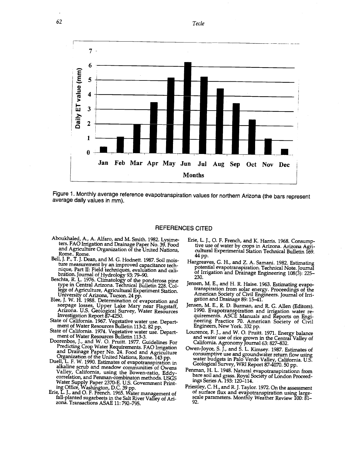62 Tecle



Figure 1. Monthly average reference evapotranspiration values for northern Arizona (the bars represent average daily values in mm).

#### REFERENCES CITED

- Aboukhaled, A., A. Alfaro, and M. Smith. 1982. Lysimeters. FAO Irrigation and Drainage Paper No. 39. Food and Agriculture Organization of the United Nations, Rome.. Rome.
- Bell, J. P., T. J. Dean, and M. G. Hodnett. 1987. Soil moisture measurement by an improved capacitance tech-<br>nique, Part II: Field techniques, evaluation and calinique, Part II: Field techniques, evaluation and cali- bration. Journal of Hydrology 93: 79-90.
- Beschta, R. L. 1976. Climatology of the ponderosa pine  $\frac{200}{\text{Iensen}}$ type in Central Arizona. Technical Bulletin 228. College of Agriculture, Agricultural Experiment Station.
- Blee, J. W. H. 1988. Determination of evaporation and gation and Drainage 89: 15–41<br>seepage losses, Upper Lake Mary near Flagstaff, Jensen, M. E., R. D. Burman, and seepage losses, Upper Lake Mary near Flagstaff, Jense<br>Arizona. U.S. Geological Survey, Water Resources <sup>19</sup> Investigation Report 87 -4250.
- 
- 
- Doorenbos, J., and W. O. Pruitt. 1977. Guidelines For Predicting Crop Water Requirements. FAO Irrigation and Drainage Paper No. 24. Food and Agriculture con Organization of the United Nations, Rome. 143 pp. Duell, L. F. W. 1990. Estimates of evapotranspiration in
- alkaline scrub and meadow communities of Owens Valley, California, using the Bowen-ratio, Eddycorrelation, and Penman combinaton methods. USGS Water Supply Paper 2370 -E. U.S. Government Print-
- ing Office, Washington, D.C. 39 pp. Erie, L. J., and O. F. French. 1965. Water management of fall -planted sugarbeets in the Salt River Valley of Arizona. Transactions ASAE 11: 792 -795.
- Erie, L. J., O. F. French, and K. Harris. 1968. Consumptive use of water by crops in Arizona. Arizona Agricultural Experimental Station Technical Bulletin 169. 44 pp.
- Hargreaves, G. H., and Z. A. Samani. 1982. Estimating of Irrigation and Drainage Engineering 108(3): 225-<br>230.
- Jensen, M. E., and H. R. Haise. 1963. Estimating evapo-<br>transpiration from solar energy. Proceedings of the American Society of Civil Engineers. Journal of Irri-
- State of California. 1967. Vegetative water use. Depart-<br>
ment of Water Resources Bulletin 113-2. 82 pp. State of California. 1974. Vegetative water use. Depart-<br>
State of California. 1974. Vegetative water use. Depart-<br>
m Jensen, M. E., R. D. Burman, and R. G. Allen (Editors). 1990. Evapotranspiration and irrigation water requirements. ASCE Manuals and Reports on Engi
	- and water use of rice grown in the Central Valley of California. Agronomy Journal 63: 827-832.
	- Owen- Joyce, S. J., and S. L. Kimsey. 1987. Estimates of consumptive use and groundwater return flow using water budgets in Palo Verde Valley, California. U.S. Geological Survey, WRI Report 87-4070. 50 pp.
	- Penman, H. L. 1948. Natural evapotranspirationn from bare soil and grass. Royal Society of London Proceedings Series A. 193: 120 -114.
	- Priestley, C. H., and R. J. Taylor. 1972. On the assessment of surface flux and evapotranspiration using large-<br>scale parameters. Monthly Weather Review 100: 81-<br>92.